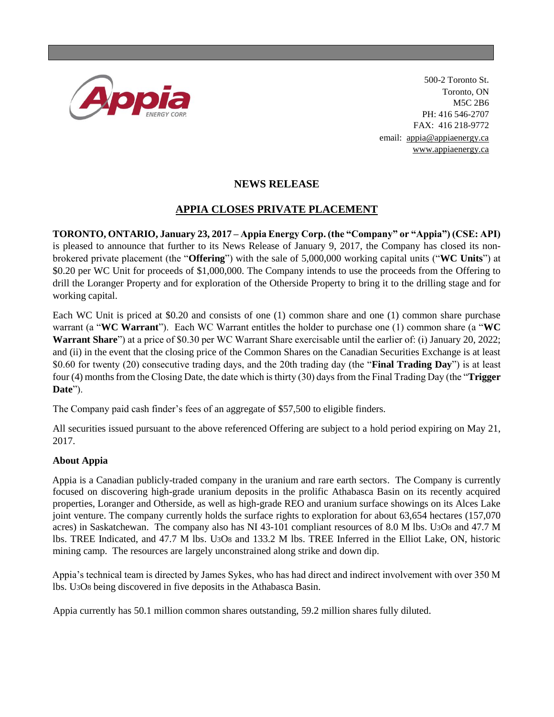

500-2 Toronto St. Toronto, ON M5C 2B6 PH: 416 546-2707 FAX: 416 218-9772 email: [appia@appiaenergy.ca](mailto:appia@appiaenergy.ca) [www.appiaenergy.ca](http://www.appiaenergy.ca/)

## **NEWS RELEASE**

## **APPIA CLOSES PRIVATE PLACEMENT**

**TORONTO, ONTARIO, January 23, 2017 – Appia Energy Corp. (the "Company" or "Appia") (CSE: API)** is pleased to announce that further to its News Release of January 9, 2017, the Company has closed its nonbrokered private placement (the "**Offering**") with the sale of 5,000,000 working capital units ("**WC Units**") at \$0.20 per WC Unit for proceeds of \$1,000,000. The Company intends to use the proceeds from the Offering to drill the Loranger Property and for exploration of the Otherside Property to bring it to the drilling stage and for working capital.

Each WC Unit is priced at \$0.20 and consists of one (1) common share and one (1) common share purchase warrant (a "**WC Warrant**"). Each WC Warrant entitles the holder to purchase one (1) common share (a "**WC Warrant Share**") at a price of \$0.30 per WC Warrant Share exercisable until the earlier of: (i) January 20, 2022; and (ii) in the event that the closing price of the Common Shares on the Canadian Securities Exchange is at least \$0.60 for twenty (20) consecutive trading days, and the 20th trading day (the "**Final Trading Day**") is at least four (4) months from the Closing Date, the date which is thirty (30) days from the Final Trading Day (the "**Trigger Date**").

The Company paid cash finder's fees of an aggregate of \$57,500 to eligible finders.

All securities issued pursuant to the above referenced Offering are subject to a hold period expiring on May 21, 2017.

## **About Appia**

Appia is a Canadian publicly-traded company in the uranium and rare earth sectors. The Company is currently focused on discovering high-grade uranium deposits in the prolific Athabasca Basin on its recently acquired properties, Loranger and Otherside, as well as high-grade REO and uranium surface showings on its Alces Lake joint venture. The company currently holds the surface rights to exploration for about 63,654 hectares (157,070 acres) in Saskatchewan. The company also has NI 43-101 compliant resources of 8.0 M lbs. U3O8 and 47.7 M lbs. TREE Indicated, and 47.7 M lbs. U3O8 and 133.2 M lbs. TREE Inferred in the Elliot Lake, ON, historic mining camp. The resources are largely unconstrained along strike and down dip.

Appia's technical team is directed by James Sykes, who has had direct and indirect involvement with over 350 M lbs. U3O8 being discovered in five deposits in the Athabasca Basin.

Appia currently has 50.1 million common shares outstanding, 59.2 million shares fully diluted.